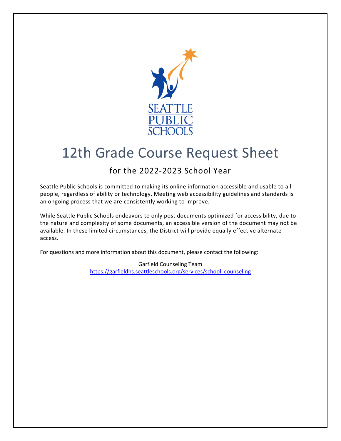

# 12th Grade Course Request Sheet

## for the 2022-2023 School Year

Seattle Public Schools is committed to making its online information accessible and usable to all people, regardless of ability or technology. Meeting web accessibility guidelines and standards is an ongoing process that we are consistently working to improve.

While Seattle Public Schools endeavors to only post documents optimized for accessibility, due to the nature and complexity of some documents, an accessible version of the document may not be available. In these limited circumstances, the District will provide equally effective alternate access.

For questions and more information about this document, please contact the following:

Garfield Counseling Team [https://garfieldhs.seattleschools.org/services/school\\_counseling](https://garfieldhs.seattleschools.org/services/school_counseling)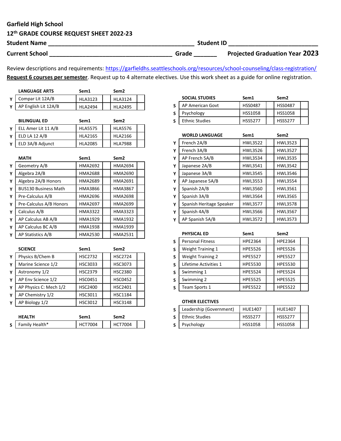## Garfield High School

## 12th GRADE COURSE REQUEST SHEET 2022-23

| <b>Student Name</b>   |       | <b>Student ID</b>                     |
|-----------------------|-------|---------------------------------------|
| <b>Current School</b> | Grade | <b>Projected Graduation Year 2023</b> |

Review descriptions and requirements: <https://garfieldhs.seattleschools.org/resources/school-counseling/class-registration>/ Request 6 courses per semester. Request up to 4 alternate electives. Use this work sheet as a guide for online registration.

| <b>LANGUAGE ARTS</b> | Sem1           | Sem <sub>2</sub> |  |
|----------------------|----------------|------------------|--|
| Compar Lit 12A/B     | <b>HLA3123</b> | <b>HLA3124</b>   |  |
| AP English Lit 12A/B | HI A2494       | HI A2495         |  |

| <b>BILINGUAL ED</b> | Sem1           | Sem <sub>2</sub> |  |
|---------------------|----------------|------------------|--|
| ELL Amer Lit 11 A/B | <b>HLA5575</b> | <b>HLA5576</b>   |  |
| ELD LA 12 A/B       | <b>HLA2165</b> | <b>HLA2166</b>   |  |
| ELD 3A/B Adjunct    | <b>HLA2085</b> | <b>HLA7988</b>   |  |

|   | <b>MATH</b>                 | Sem1           | Sem <sub>2</sub> |  |
|---|-----------------------------|----------------|------------------|--|
| Υ | Geometry A/B                | HMA2692        | <b>HMA2694</b>   |  |
| Υ | Algebra 2A/B                | <b>HMA2688</b> | <b>HMA2690</b>   |  |
| Y | Algebra 2A/B Honors         | HMA2689        | <b>HMA2691</b>   |  |
| Y | <b>BUS130 Business Math</b> | HMA3866        | HMA3867          |  |
| Y | Pre-Calculus A/B            | HMA2696        | <b>HMA2698</b>   |  |
| Y | Pre-Calculus A/B Honors     | <b>HMA2697</b> | <b>HMA2699</b>   |  |
| Y | Calculus A/B                | <b>HMA3322</b> | <b>HMA3323</b>   |  |
| Y | AP Calculus AB A/B          | <b>HMA1929</b> | <b>HMA1932</b>   |  |
| Υ | AP Calculus BC A/B          | <b>HMA1938</b> | HMA1939          |  |
| Y | AP Statistics A/B           | <b>HMA2530</b> | <b>HMA2531</b>   |  |

|   | <b>SCIENCE</b>         | Sem1           | Sem <sub>2</sub> |
|---|------------------------|----------------|------------------|
| Y | Physics B/Chem B       | <b>HSC2732</b> | <b>HSC2724</b>   |
| Υ | Marine Science 1/2     | HSC3033        | HSC3073          |
| Υ | Astronomy 1/2          | <b>HSC2379</b> | <b>HSC2380</b>   |
| Υ | AP Env Science 1/2     | <b>HSC0451</b> | <b>HSC0452</b>   |
| Y | AP Physics C: Mech 1/2 | <b>HSC2400</b> | <b>HSC2401</b>   |
| Υ | AP Chemistry 1/2       | HSC3011        | <b>HSC1184</b>   |
| Υ | AP Biology 1/2         | HSC3012        | <b>HSC3148</b>   |
|   |                        |                |                  |

|     | <b>HFAITH</b>  | Sem1   | Sem2           |  |
|-----|----------------|--------|----------------|--|
| S I | Family Health* | :T7004 | <b>HCT7004</b> |  |

|   | <b>SOCIAL STUDIES</b> | Sem1           | Sem <sub>2</sub> |  |
|---|-----------------------|----------------|------------------|--|
| S | AP American Govt      | <b>HSS0487</b> | <b>HSS0487</b>   |  |
| S | Psychology            | <b>HSS1058</b> | <b>HSS1058</b>   |  |
| S | <b>Ethnic Studies</b> | <b>HSS5277</b> | <b>HSS5277</b>   |  |

|   | <b>WORLD LANGUAGE</b>    | Sem1           | Sem <sub>2</sub> |  |
|---|--------------------------|----------------|------------------|--|
| Y | French 2A/B              | <b>HWL3522</b> | HWL3523          |  |
| Y | French 3A/B              | <b>HWL3526</b> | <b>HWL3527</b>   |  |
| Υ | AP French 5A/B           | <b>HWL3534</b> | <b>HWL3535</b>   |  |
| Υ | Japanese 2A/B            | HWL3541        | <b>HWL3542</b>   |  |
| Y | Japanese 3A/B            | <b>HWL3545</b> | <b>HWL3546</b>   |  |
| Y | AP Japanese 5A/B         | <b>HWL3553</b> | <b>HWL3554</b>   |  |
| Y | Spanish 2A/B             | <b>HWL3560</b> | HWL3561          |  |
| Y | Spanish 3A/B             | <b>HWL3564</b> | <b>HWL3565</b>   |  |
| Y | Spanish Heritage Speaker | <b>HWL3577</b> | <b>HWL3578</b>   |  |
| Υ | Spanish 4A/B             | <b>HWL3566</b> | <b>HWL3567</b>   |  |
| Y | AP Spanish 5A/B          | <b>HWL3572</b> | <b>HWL3573</b>   |  |

|   | <b>PHYSICAL ED</b>       | Sem1           | Sem <sub>2</sub> |  |
|---|--------------------------|----------------|------------------|--|
| S | <b>Personal Fitness</b>  | <b>HPE2364</b> | HPE2364          |  |
| S | <b>Weight Training 1</b> | <b>HPE5526</b> | <b>HPE5526</b>   |  |
| S | <b>Weight Training 2</b> | <b>HPE5527</b> | <b>HPE5527</b>   |  |
| S | Lifetime Activities 1    | <b>HPE5530</b> | <b>HPE5530</b>   |  |
| S | Swimming 1               | <b>HPE5524</b> | HPE5524          |  |
| S | Swimming 2               | <b>HPE5525</b> | <b>HPE5525</b>   |  |
| S | Team Sports 1            | <b>HPE5522</b> | <b>HPE5522</b>   |  |

#### OTHER ELECTIVES

| Leadership (Government) | <b>HUE1407</b> | <b>HUF1407</b> |  |
|-------------------------|----------------|----------------|--|
| <b>Ethnic Studies</b>   | <b>HSS5277</b> | <b>HSS5277</b> |  |
| Psychology              | <b>HSS1058</b> | <b>HSS1058</b> |  |